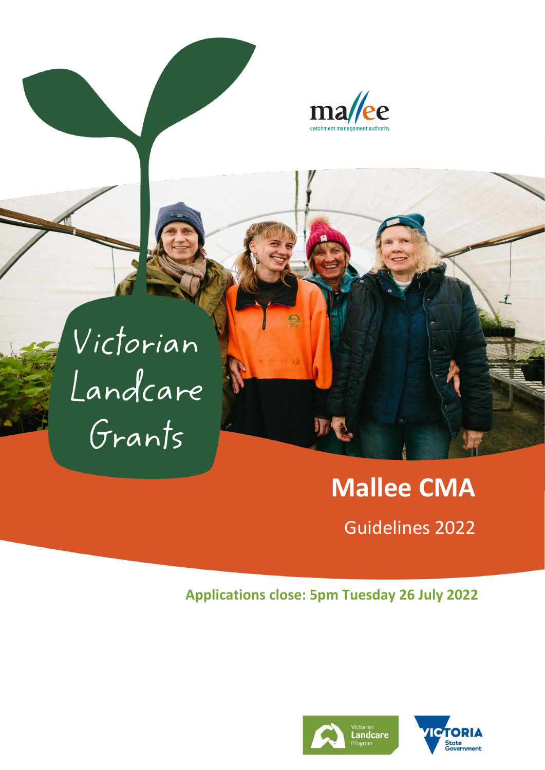

Victorian Landcare Grants

# **Mallee CMA**

Guidelines 2022

# **Applications close: 5pm Tuesday 26 July 2022**



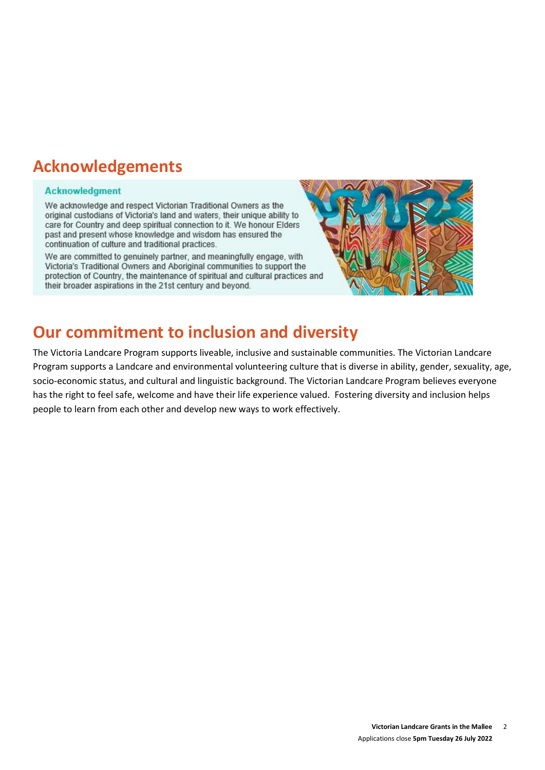# **Acknowledgements**

#### **Acknowledgment**

We acknowledge and respect Victorian Traditional Owners as the original custodians of Victoria's land and waters, their unique ability to care for Country and deep spiritual connection to it. We honour Elders past and present whose knowledge and wisdom has ensured the continuation of culture and traditional practices.

We are committed to genuinely partner, and meaningfully engage, with Victoria's Traditional Owners and Aboriginal communities to support the protection of Country, the maintenance of spiritual and cultural practices and their broader aspirations in the 21st century and beyond.



# **Our commitment to inclusion and diversity**

The Victoria Landcare Program supports liveable, inclusive and sustainable communities. The Victorian Landcare Program supports a Landcare and environmental volunteering culture that is diverse in ability, gender, sexuality, age, socio-economic status, and cultural and linguistic background. The Victorian Landcare Program believes everyone has the right to feel safe, welcome and have their life experience valued. Fostering diversity and inclusion helps people to learn from each other and develop new ways to work effectively.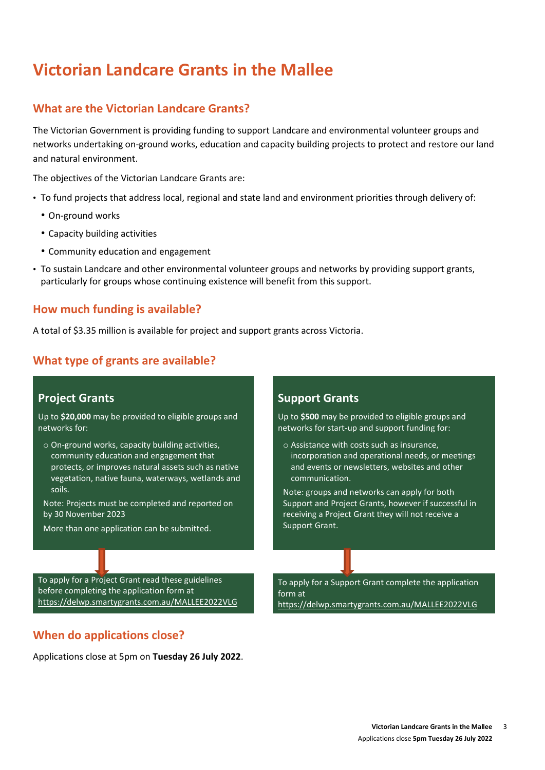# **Victorian Landcare Grants in the Mallee**

#### **What are the Victorian Landcare Grants?**

The Victorian Government is providing funding to support Landcare and environmental volunteer groups and networks undertaking on-ground works, education and capacity building projects to protect and restore our land and natural environment.

The objectives of the Victorian Landcare Grants are:

- To fund projects that address local, regional and state land and environment priorities through delivery of:
	- On-ground works
	- Capacity building activities
	- Community education and engagement
- To sustain Landcare and other environmental volunteer groups and networks by providing support grants, particularly for groups whose continuing existence will benefit from this support.

#### **How much funding is available?**

A total of \$3.35 million is available for project and support grants across Victoria.

#### **What type of grants are available?**

#### **Project Grants**

Up to **\$20,000** may be provided to eligible groups and networks for:

o On-ground works, capacity building activities, community education and engagement that protects, or improves natural assets such as native vegetation, native fauna, waterways, wetlands and soils.

Note: Projects must be completed and reported on by 30 November 2023

More than one application can be submitted.

#### **Support Grants**

Up to **\$500** may be provided to eligible groups and networks for start-up and support funding for:

o Assistance with costs such as insurance, incorporation and operational needs, or meetings and events or newsletters, websites and other communication.

Note: groups and networks can apply for both Support and Project Grants, however if successful in receiving a Project Grant they will not receive a Support Grant.

To apply for a Project Grant read these guidelines before completing the application form at <https://delwp.smartygrants.com.au/MALLEE2022VLG>

#### **When do applications close?**

Applications close at 5pm on **Tuesday 26 July 2022**.

To apply for a Support Grant complete the application form at <https://delwp.smartygrants.com.au/MALLEE2022VLG>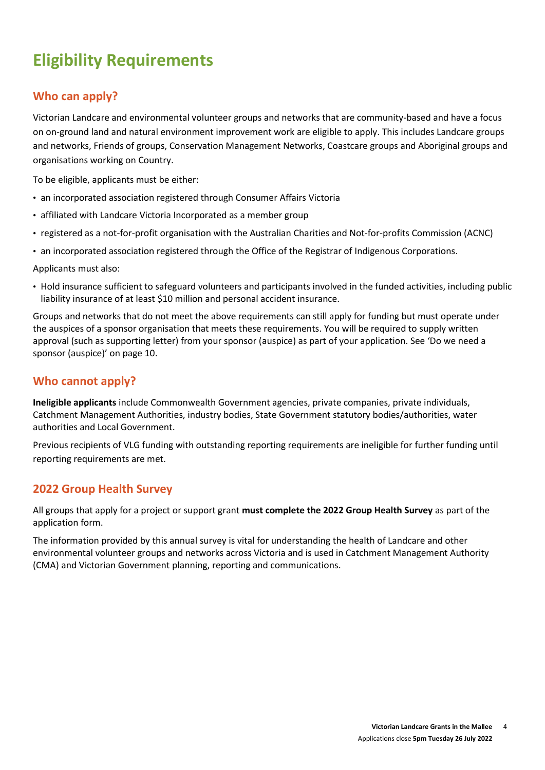# **Eligibility Requirements**

# **Who can apply?**

Victorian Landcare and environmental volunteer groups and networks that are community-based and have a focus on on-ground land and natural environment improvement work are eligible to apply. This includes Landcare groups and networks, Friends of groups, Conservation Management Networks, Coastcare groups and Aboriginal groups and organisations working on Country.

To be eligible, applicants must be either:

- an incorporated association registered through Consumer Affairs Victoria
- affiliated with Landcare Victoria Incorporated as a member group
- registered as a not-for-profit organisation with the Australian Charities and Not-for-profits Commission (ACNC)
- an incorporated association registered through the [Office of the Registrar of Indigenous Corporations.](https://www.oric.gov.au/start-corporation/registration-options)

Applicants must also:

• Hold insurance sufficient to safeguard volunteers and participants involved in the funded activities, including public liability insurance of at least \$10 million and personal accident insurance.

Groups and networks that do not meet the above requirements can still apply for funding but must operate under the auspices of a sponsor organisation that meets these requirements. You will be required to supply written approval (such as supporting letter) from your sponsor (auspice) as part of your application. See 'Do we need a sponsor (auspice)' on page 10.

#### **Who cannot apply?**

**Ineligible applicants** include Commonwealth Government agencies, private companies, private individuals, Catchment Management Authorities, industry bodies, State Government statutory bodies/authorities, water authorities and Local Government.

Previous recipients of VLG funding with outstanding reporting requirements are ineligible for further funding until reporting requirements are met.

#### **2022 Group Health Survey**

All groups that apply for a project or support grant **must complete the 2022 Group Health Survey** as part of the application form.

The information provided by this annual survey is vital for understanding the health of Landcare and other environmental volunteer groups and networks across Victoria and is used in Catchment Management Authority (CMA) and Victorian Government planning, reporting and communications.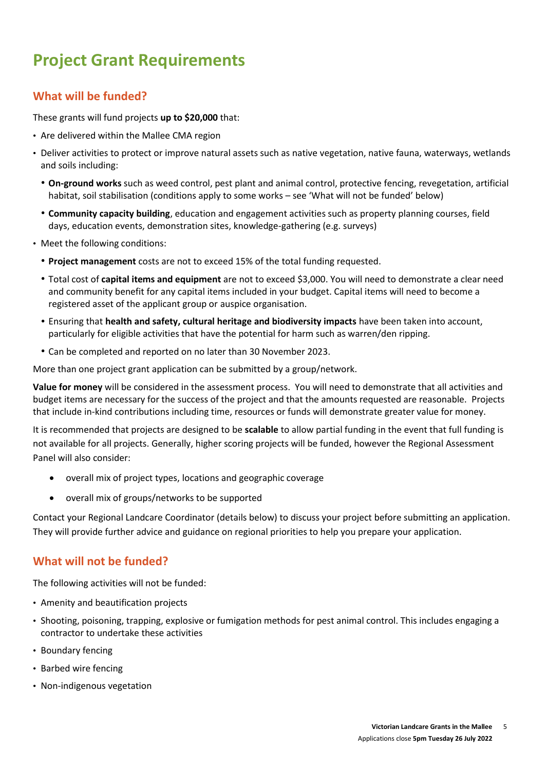# **Project Grant Requirements**

### **What will be funded?**

These grants will fund projects **up to \$20,000** that:

- Are delivered within the Mallee CMA region
- Deliver activities to protect or improve natural assets such as native vegetation, native fauna, waterways, wetlands and soils including:
	- **On-ground works** such as weed control, pest plant and animal control, protective fencing, revegetation, artificial habitat, soil stabilisation (conditions apply to some works – see 'What will not be funded' below)
	- **Community capacity building**, education and engagement activities such as property planning courses, field days, education events, demonstration sites, knowledge-gathering (e.g. surveys)
- Meet the following conditions:
	- **Project management** costs are not to exceed 15% of the total funding requested.
	- Total cost of **capital items and equipment** are not to exceed \$3,000. You will need to demonstrate a clear need and community benefit for any capital items included in your budget. Capital items will need to become a registered asset of the applicant group or auspice organisation.
	- Ensuring that **health and safety, cultural heritage and biodiversity impacts** have been taken into account, particularly for eligible activities that have the potential for harm such as warren/den ripping.
	- Can be completed and reported on no later than 30 November 2023.

More than one project grant application can be submitted by a group/network.

**Value for money** will be considered in the assessment process. You will need to demonstrate that all activities and budget items are necessary for the success of the project and that the amounts requested are reasonable. Projects that include in-kind contributions including time, resources or funds will demonstrate greater value for money.

It is recommended that projects are designed to be **scalable** to allow partial funding in the event that full funding is not available for all projects. Generally, higher scoring projects will be funded, however the Regional Assessment Panel will also consider:

- overall mix of project types, locations and geographic coverage
- overall mix of groups/networks to be supported

Contact your Regional Landcare Coordinator (details below) to discuss your project before submitting an application. They will provide further advice and guidance on regional priorities to help you prepare your application.

#### **What will not be funded?**

The following activities will not be funded:

- Amenity and beautification projects
- Shooting, poisoning, trapping, explosive or fumigation methods for pest animal control. This includes engaging a contractor to undertake these activities
- Boundary fencing
- Barbed wire fencing
- Non-indigenous vegetation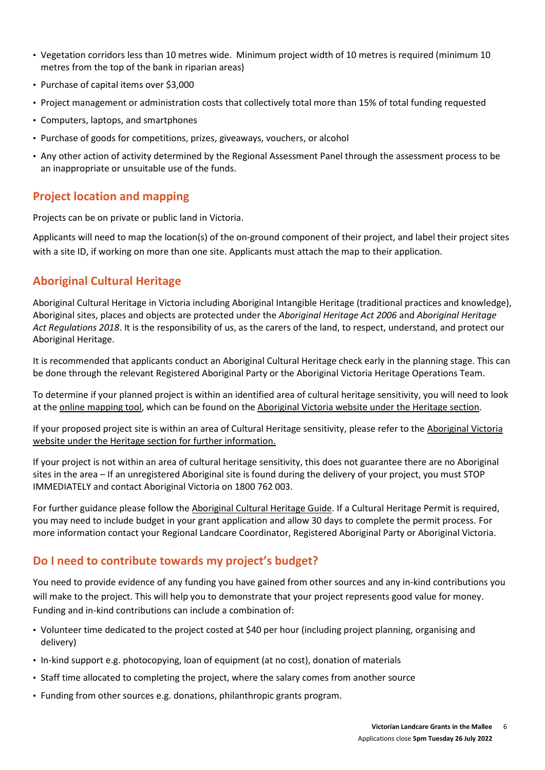- Vegetation corridors less than 10 metres wide. Minimum project width of 10 metres is required (minimum 10 metres from the top of the bank in riparian areas)
- Purchase of capital items over \$3,000
- Project management or administration costs that collectively total more than 15% of total funding requested
- Computers, laptops, and smartphones
- Purchase of goods for competitions, prizes, giveaways, vouchers, or alcohol
- Any other action of activity determined by the Regional Assessment Panel through the assessment process to be an inappropriate or unsuitable use of the funds.

#### **Project location and mapping**

Projects can be on private or public land in Victoria.

Applicants will need to map the location(s) of the on-ground component of their project, and label their project sites with a site ID, if working on more than one site. Applicants must attach the map to their application.

### **Aboriginal Cultural Heritage**

Aboriginal Cultural Heritage in Victoria including Aboriginal Intangible Heritage (traditional practices and knowledge), Aboriginal sites, places and objects are protected under the *Aboriginal Heritage Act 2006* and *Aboriginal Heritage Act Regulations 2018*. It is the responsibility of us, as the carers of the land, to respect, understand, and protect our Aboriginal Heritage.

It is recommended that applicants conduct an Aboriginal Cultural Heritage check early in the planning stage. This can be done through the relevant Registered Aboriginal Party or the Aboriginal Victoria Heritage Operations Team.

To determine if your planned project is within an identified area of cultural heritage sensitivity, you will need to look at the [online mapping tool,](https://achris.vic.gov.au/#/onlinemap) which can be found on the [Aboriginal Victoria website](https://www.vic.gov.au/aboriginalvictoria.html) under th[e Heritage section.](https://www.aboriginalvictoria.vic.gov.au/aboriginal-culture-and-heritage)

If your proposed project site is within an area of Cultural Heritage sensitivity, please refer to th[e Aboriginal Victoria](https://www.vic.gov.au/aboriginalvictoria.html)  [website](https://www.vic.gov.au/aboriginalvictoria.html) under the [Heritage section](https://www.aboriginalvictoria.vic.gov.au/aboriginal-culture-and-heritage) for further information.

If your project is not within an area of cultural heritage sensitivity, this does not guarantee there are no Aboriginal sites in the area – If an unregistered Aboriginal site is found during the delivery of your project, you must STOP IMMEDIATELY and contact Aboriginal Victoria on 1800 762 003.

For further guidance please follow th[e Aboriginal Cultural Heritage Guide.](https://www.landcarevic.org.au/assets/Uploads/Aboriginal-Cultural-Heritage-Guide-FINAL-Jan2020-Online.pdf) If a Cultural Heritage Permit is required, you may need to include budget in your grant application and allow 30 days to complete the permit process. For more information contact your Regional Landcare Coordinator, Registered Aboriginal Party or Aboriginal Victoria.

#### **Do I need to contribute towards my project's budget?**

You need to provide evidence of any funding you have gained from other sources and any in-kind contributions you will make to the project. This will help you to demonstrate that your project represents good value for money. Funding and in-kind contributions can include a combination of:

- Volunteer time dedicated to the project costed at \$40 per hour (including project planning, organising and delivery)
- In-kind support e.g. photocopying, loan of equipment (at no cost), donation of materials
- Staff time allocated to completing the project, where the salary comes from another source
- Funding from other sources e.g. donations, philanthropic grants program.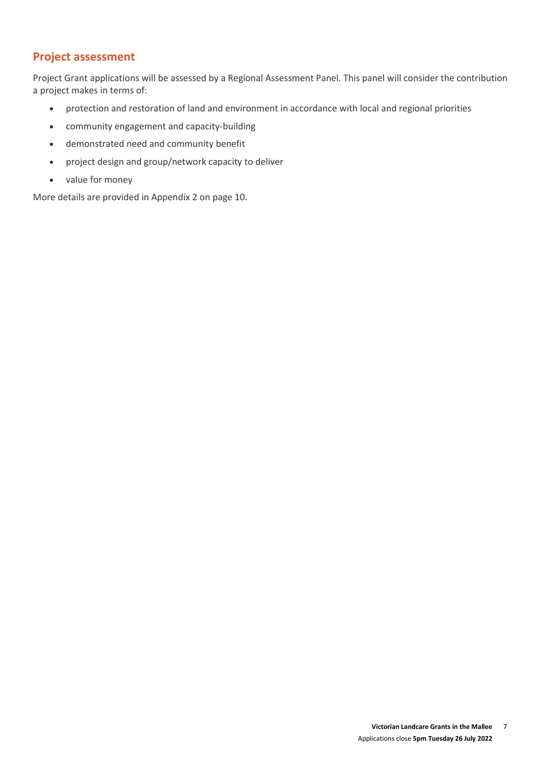# **Project assessment**

Project Grant applications will be assessed by a Regional Assessment Panel. This panel will consider the contribution a project makes in terms of:

- protection and restoration of land and environment in accordance with local and regional priorities
- community engagement and capacity-building
- demonstrated need and community benefit
- project design and group/network capacity to deliver
- value for money

More details are provided in Appendix 2 on page 10.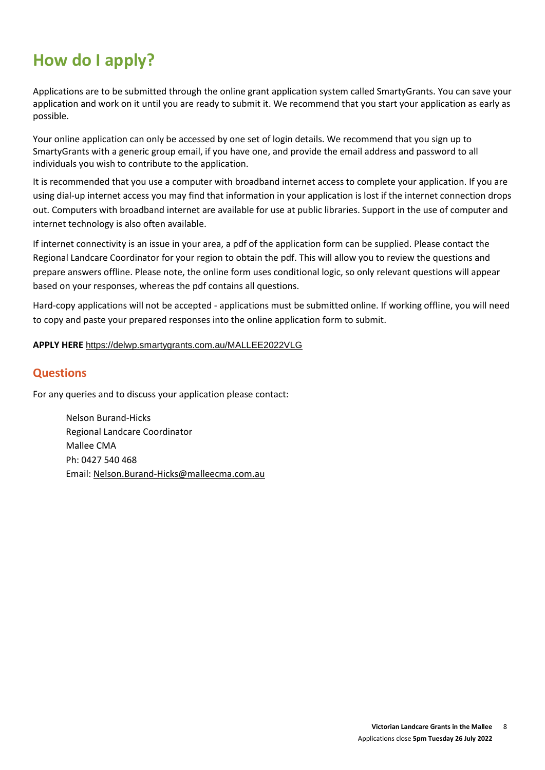# **How do I apply?**

Applications are to be submitted through the online grant application system called SmartyGrants. You can save your application and work on it until you are ready to submit it. We recommend that you start your application as early as possible.

Your online application can only be accessed by one set of login details. We recommend that you sign up to SmartyGrants with a generic group email, if you have one, and provide the email address and password to all individuals you wish to contribute to the application.

It is recommended that you use a computer with broadband internet access to complete your application. If you are using dial-up internet access you may find that information in your application is lost if the internet connection drops out. Computers with broadband internet are available for use at public libraries. Support in the use of computer and internet technology is also often available.

If internet connectivity is an issue in your area, a pdf of the application form can be supplied. Please contact the Regional Landcare Coordinator for your region to obtain the pdf. This will allow you to review the questions and prepare answers offline. Please note, the online form uses conditional logic, so only relevant questions will appear based on your responses, whereas the pdf contains all questions.

Hard-copy applications will not be accepted - applications must be submitted online. If working offline, you will need to copy and paste your prepared responses into the online application form to submit.

#### **APPLY HERE** <https://delwp.smartygrants.com.au/MALLEE2022VLG>

#### **Questions**

For any queries and to discuss your application please contact:

Nelson Burand-Hicks Regional Landcare Coordinator Mallee CMA Ph: 0427 540 468 Email: [Nelson.Burand-Hicks@malleecma.com.au](mailto:Nelson.Burand-Hicks@malleecma.com.au)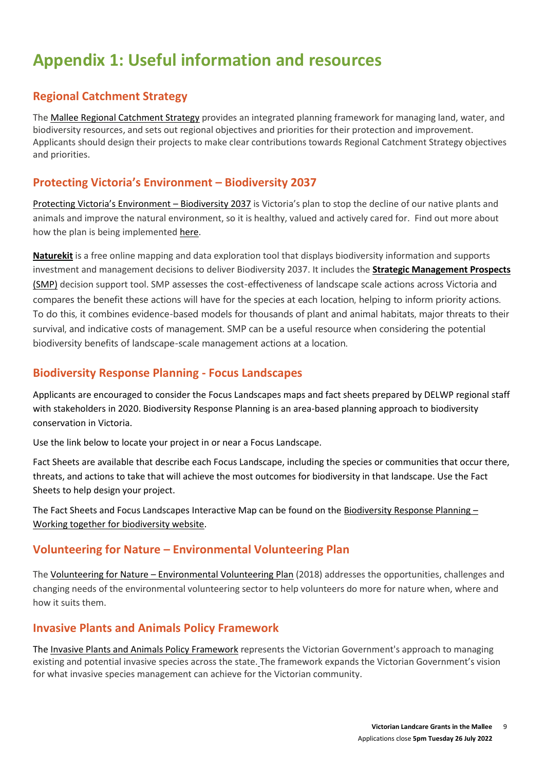# **Appendix 1: Useful information and resources**

# **Regional Catchment Strategy**

The [Mallee Regional Catchment Strategy](https://www.malleecma.com.au/wp-content/uploads/2019/07/MCMA-RCS-13-to-19.pdf) provides an integrated planning framework for managing land, water, and biodiversity resources, and sets out regional objectives and priorities for their protection and improvement. Applicants should design their projects to make clear contributions towards Regional Catchment Strategy objectives and priorities.

### **[Protecting Victoria's Environment –](https://www.environment.vic.gov.au/biodiversity/biodiversity-plan) Biodiversity 2037**

[Protecting Victoria's Environment –](http://www.environment.vic.gov.au/biodiversity/biodiversity-plan) Biodiversity 2037 is Victoria's plan to stop the decline of our native plants and animals and improve the natural environment, so it is healthy, valued and actively cared for. Find out more about how the plan is being implemented [here.](https://www.environment.vic.gov.au/biodiversity/Implementing-Biodiversity-2037)

**[Naturekit](https://www.environment.vic.gov.au/biodiversity/naturekit)** is a free online mapping and data exploration tool that displays biodiversity information and supports investment and management decisions to deliver Biodiversity 2037. It includes the **[Strategic Management Prospects](https://www.environment.vic.gov.au/biodiversity/natureprint)**  [\(SMP\)](https://www.environment.vic.gov.au/biodiversity/natureprint) decision support tool. SMP assesses the cost-effectiveness of landscape scale actions across Victoria and compares the benefit these actions will have for the species at each location, helping to inform priority actions. To do this, it combines evidence-based models for thousands of plant and animal habitats, major threats to their survival, and indicative costs of management. SMP can be a useful resource when considering the potential biodiversity benefits of landscape-scale management actions at a location.

### **Biodiversity Response Planning - Focus Landscapes**

Applicants are encouraged to consider the Focus Landscapes maps and fact sheets prepared by DELWP regional staff with stakeholders in 2020. Biodiversity Response Planning is an area-based planning approach to biodiversity conservation in Victoria.

Use the link below to locate your project in or near a Focus Landscape.

Fact Sheets are available that describe each Focus Landscape, including the species or communities that occur there, threats, and actions to take that will achieve the most outcomes for biodiversity in that landscape. Use the Fact Sheets to help design your project.

The Fact Sheets and Focus Landscapes Interactive Map can be found on th[e Biodiversity Response Planning](https://www.environment.vic.gov.au/biodiversity/working-together-for-biodiversity)  $-$ [Working together for](https://www.environment.vic.gov.au/biodiversity/working-together-for-biodiversity) biodiversity website.

### **Volunteering for Nature – Environmental Volunteering Plan**

The Volunteering for Nature – [Environmental Volunteering Plan](https://www.environment.vic.gov.au/environmental-volunteering/volunteering) (2018) addresses the opportunities, challenges and changing needs of the environmental volunteering sector to help volunteers do more for nature when, where and how it suits them.

### **Invasive Plants and Animals Policy Framework**

The [Invasive Plants and Animals Policy Framework](https://agriculture.vic.gov.au/biosecurity/protecting-victoria/legislation-policy-and-permits/invasive-plants-and-animals-policy-framework) represents the Victorian Government's approach to managing existing and potential invasive species across the state. The framework expands the Victorian Government's vision for what invasive species management can achieve for the Victorian community.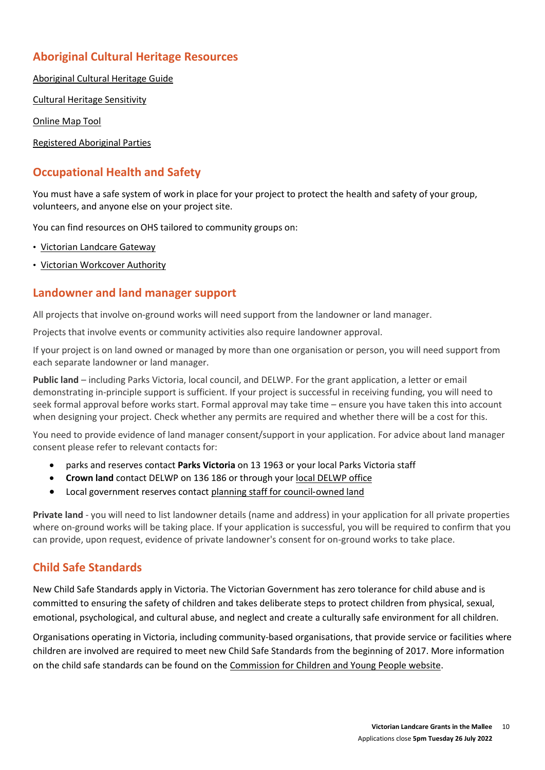### **Aboriginal Cultural Heritage Resources**

[Aboriginal Cultural Heritage Guide](http://www.landcarevic.org.au/assets/Uploads/Aboriginal-Cultural-Heritage-Guide-FINAL-Jan2020-Online.pdf)

[Cultural Heritage Sensitivity](http://www.aboriginalvictoria.vic.gov.au/cultural-heritage-sensitivity)

[Online Map Tool](https://achris.vic.gov.au/#/dashboard)

[Registered Aboriginal Parties](http://www.aboriginalheritagecouncil.vic.gov.au/victorias-current-registered-aboriginal-parties)

#### **Occupational Health and Safety**

You must have a safe system of work in place for your project to protect the health and safety of your group, volunteers, and anyone else on your project site.

You can find resources on OHS tailored to community groups on:

- [Victorian Landcare Gateway](http://www.landcarevic.org.au/resources/health-and-safety/)
- [Victorian Workcover Authority](https://www.worksafe.vic.gov.au/)

#### **Landowner and land manager support**

All projects that involve on-ground works will need support from the landowner or land manager.

Projects that involve events or community activities also require landowner approval.

If your project is on land owned or managed by more than one organisation or person, you will need support from each separate landowner or land manager.

**Public land** – including Parks Victoria, local council, and DELWP. For the grant application, a letter or email demonstrating in-principle support is sufficient. If your project is successful in receiving funding, you will need to seek formal approval before works start. Formal approval may take time – ensure you have taken this into account when designing your project. Check whether any permits are required and whether there will be a cost for this.

You need to provide evidence of land manager consent/support in your application. For advice about land manager consent please refer to relevant contacts for:

- parks and reserves contact **Parks Victoria** on 13 1963 or your local Parks Victoria staff
- **Crown land** contact DELWP on 136 186 or through your [local DELWP](file:///C:/Users/ed0N/AppData/Local/Microsoft/Windows/INetCache/Content.Outlook/V2GQZPR2/www2.delwp.vic.gov.au/communities-and-regions/regions-and-locations) office
- Local government reserves contact [planning staff for council](http://www.knowyourcouncil.vic.gov.au/)-owned land

**Private land** - you will need to list landowner details (name and address) in your application for all private properties where on-ground works will be taking place. If your application is successful, you will be required to confirm that you can provide, upon request, evidence of private landowner's consent for on-ground works to take place.

#### **Child Safe Standards**

New Child Safe Standards apply in Victoria. The Victorian Government has zero tolerance for child abuse and is committed to ensuring the safety of children and takes deliberate steps to protect children from physical, sexual, emotional, psychological, and cultural abuse, and neglect and create a culturally safe environment for all children.

Organisations operating in Victoria, including community‐based organisations, that provide service or facilities where children are involved are required to meet new Child Safe Standards from the beginning of 2017. More information on the child safe standards can be found on the [Commission for Children and Young People website.](https://ccyp.vic.gov.au/child-safety/being-a-child-safe-organisation/the-child-safe-standards/)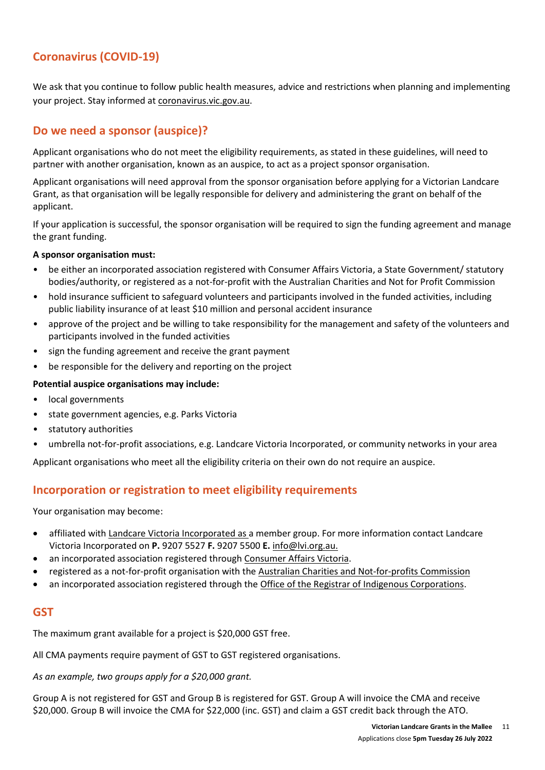### **Coronavirus (COVID-19)**

We ask that you continue to follow public health measures, advice and restrictions when planning and implementing your project. Stay informed at [coronavirus.vic.gov.au.](http://coronavirus.vic.gov.au/)

### **Do we need a sponsor (auspice)?**

Applicant organisations who do not meet the eligibility requirements, as stated in these guidelines, will need to partner with another organisation, known as an auspice, to act as a project sponsor organisation.

Applicant organisations will need approval from the sponsor organisation before applying for a Victorian Landcare Grant, as that organisation will be legally responsible for delivery and administering the grant on behalf of the applicant.

If your application is successful, the sponsor organisation will be required to sign the funding agreement and manage the grant funding.

#### **A sponsor organisation must:**

- be either an incorporated association registered with Consumer Affairs Victoria, a State Government/ statutory bodies/authority, or registered as a not-for-profit with the Australian Charities and Not for Profit Commission
- hold insurance sufficient to safeguard volunteers and participants involved in the funded activities, including public liability insurance of at least \$10 million and personal accident insurance
- approve of the project and be willing to take responsibility for the management and safety of the volunteers and participants involved in the funded activities
- sign the funding agreement and receive the grant payment
- be responsible for the delivery and reporting on the project

#### **Potential auspice organisations may include:**

- local governments
- state government agencies, e.g. Parks Victoria
- statutory authorities
- umbrella not-for-profit associations, e.g. Landcare Victoria Incorporated, or community networks in your area

Applicant organisations who meet all the eligibility criteria on their own do not require an auspice.

#### **Incorporation or registration to meet eligibility requirements**

Your organisation may become:

- affiliated wit[h Landcare Victoria Incorporated](http://www.lvi.org.au/) as a member group. For more information contact Landcare Victoria Incorporated on **P.** 9207 5527 **F.** 9207 5500 **E.** [info@lvi.org.au.](mailto:info@lvi.org.au)
- an incorporated association registered through [Consumer Affairs Victoria.](http://www.consumer.vic.gov.au/clubs-and-fundraising/incorporated-associations)
- registered as a not-for-profit organisation with the [Australian Charities and Not-for-profits Commission](https://www.acnc.gov.au/)
- an incorporated association registered through the [Office of the Registrar of Indigenous Corporations.](https://www.oric.gov.au/start-corporation/registration-options)

#### **GST**

The maximum grant available for a project is \$20,000 GST free.

All CMA payments require payment of GST to GST registered organisations.

*As an example, two groups apply for a \$20,000 grant.*

Group A is not registered for GST and Group B is registered for GST. Group A will invoice the CMA and receive \$20,000. Group B will invoice the CMA for \$22,000 (inc. GST) and claim a GST credit back through the ATO.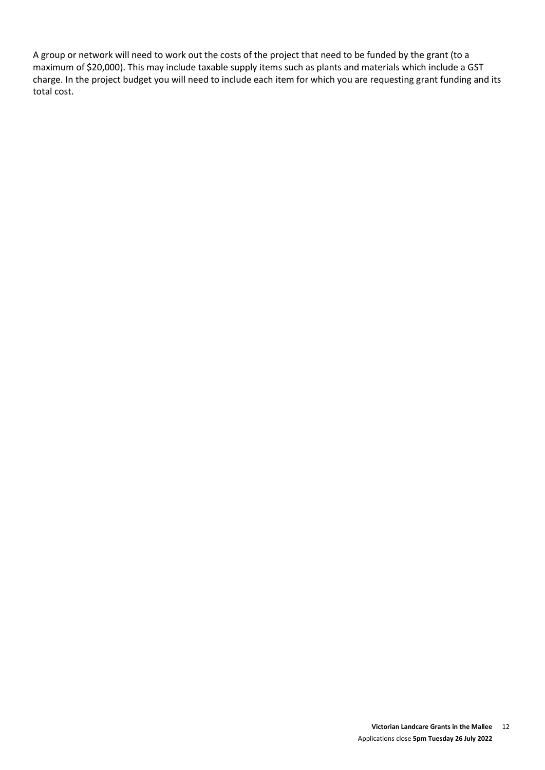A group or network will need to work out the costs of the project that need to be funded by the grant (to a maximum of \$20,000). This may include taxable supply items such as plants and materials which include a GST charge. In the project budget you will need to include each item for which you are requesting grant funding and its total cost.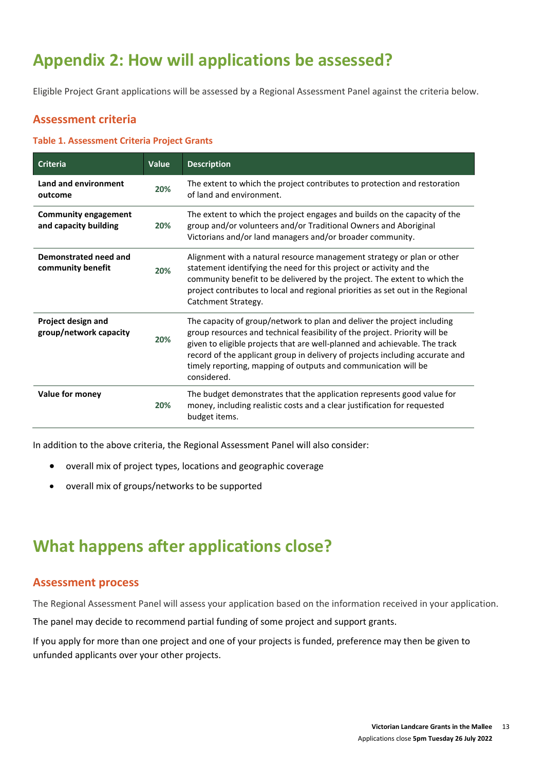# **Appendix 2: How will applications be assessed?**

Eligible Project Grant applications will be assessed by a Regional Assessment Panel against the criteria below.

#### **Assessment criteria**

#### **Table 1. Assessment Criteria Project Grants**

| <b>Criteria</b>                                      | Value | <b>Description</b>                                                                                                                                                                                                                                                                                                                                                                                   |
|------------------------------------------------------|-------|------------------------------------------------------------------------------------------------------------------------------------------------------------------------------------------------------------------------------------------------------------------------------------------------------------------------------------------------------------------------------------------------------|
| Land and environment<br>outcome                      | 20%   | The extent to which the project contributes to protection and restoration<br>of land and environment.                                                                                                                                                                                                                                                                                                |
| <b>Community engagement</b><br>and capacity building | 20%   | The extent to which the project engages and builds on the capacity of the<br>group and/or volunteers and/or Traditional Owners and Aboriginal<br>Victorians and/or land managers and/or broader community.                                                                                                                                                                                           |
| Demonstrated need and<br>community benefit           | 20%   | Alignment with a natural resource management strategy or plan or other<br>statement identifying the need for this project or activity and the<br>community benefit to be delivered by the project. The extent to which the<br>project contributes to local and regional priorities as set out in the Regional<br>Catchment Strategy.                                                                 |
| Project design and<br>group/network capacity         | 20%   | The capacity of group/network to plan and deliver the project including<br>group resources and technical feasibility of the project. Priority will be<br>given to eligible projects that are well-planned and achievable. The track<br>record of the applicant group in delivery of projects including accurate and<br>timely reporting, mapping of outputs and communication will be<br>considered. |
| Value for money                                      | 20%   | The budget demonstrates that the application represents good value for<br>money, including realistic costs and a clear justification for requested<br>budget items.                                                                                                                                                                                                                                  |

In addition to the above criteria, the Regional Assessment Panel will also consider:

- overall mix of project types, locations and geographic coverage
- overall mix of groups/networks to be supported

# **What happens after applications close?**

#### **Assessment process**

The Regional Assessment Panel will assess your application based on the information received in your application.

The panel may decide to recommend partial funding of some project and support grants.

If you apply for more than one project and one of your projects is funded, preference may then be given to unfunded applicants over your other projects.